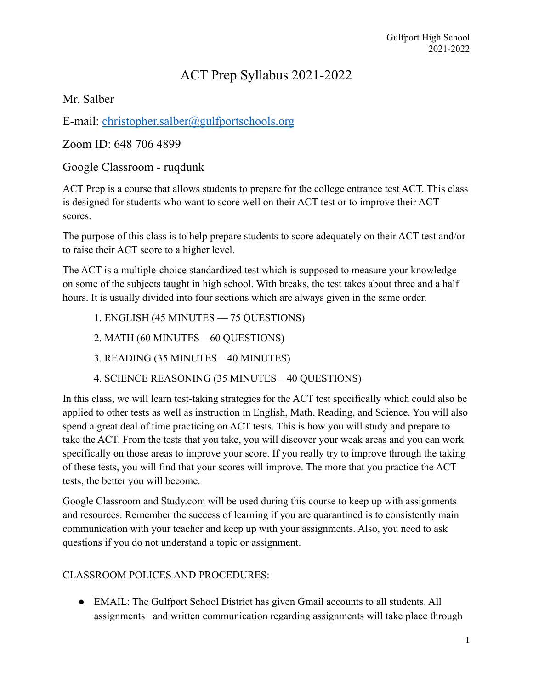## ACT Prep Syllabus 2021-2022

Mr. Salber

E-mail: [christopher.salber@gulfportschools.org](mailto:christopher.salber@gulfportschools.org)

Zoom ID: 648 706 4899

Google Classroom - ruqdunk

ACT Prep is a course that allows students to prepare for the college entrance test ACT. This class is designed for students who want to score well on their ACT test or to improve their ACT scores.

The purpose of this class is to help prepare students to score adequately on their ACT test and/or to raise their ACT score to a higher level.

The ACT is a multiple-choice standardized test which is supposed to measure your knowledge on some of the subjects taught in high school. With breaks, the test takes about three and a half hours. It is usually divided into four sections which are always given in the same order.

- 1. ENGLISH (45 MINUTES 75 QUESTIONS)
- 2. MATH (60 MINUTES 60 QUESTIONS)
- 3. READING (35 MINUTES 40 MINUTES)
- 4. SCIENCE REASONING (35 MINUTES 40 QUESTIONS)

In this class, we will learn test-taking strategies for the ACT test specifically which could also be applied to other tests as well as instruction in English, Math, Reading, and Science. You will also spend a great deal of time practicing on ACT tests. This is how you will study and prepare to take the ACT. From the tests that you take, you will discover your weak areas and you can work specifically on those areas to improve your score. If you really try to improve through the taking of these tests, you will find that your scores will improve. The more that you practice the ACT tests, the better you will become.

Google Classroom and Study.com will be used during this course to keep up with assignments and resources. Remember the success of learning if you are quarantined is to consistently main communication with your teacher and keep up with your assignments. Also, you need to ask questions if you do not understand a topic or assignment.

## CLASSROOM POLICES AND PROCEDURES:

*●* EMAIL: The Gulfport School District has given Gmail accounts to all students. All assignments and written communication regarding assignments will take place through